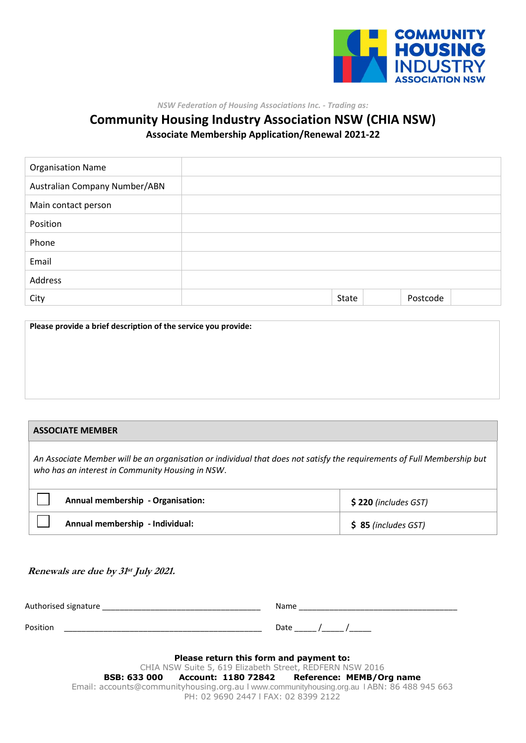

*NSW Federation of Housing Associations Inc. - Trading as:*

# **Community Housing Industry Association NSW (CHIA NSW) Associate Membership Application/Renewal 2021-22**

| <b>Organisation Name</b>      |       |          |  |
|-------------------------------|-------|----------|--|
| Australian Company Number/ABN |       |          |  |
| Main contact person           |       |          |  |
| Position                      |       |          |  |
| Phone                         |       |          |  |
| Email                         |       |          |  |
| Address                       |       |          |  |
| City                          | State | Postcode |  |

**Please provide a brief description of the service you provide:**

## **ASSOCIATE MEMBER**

*An Associate Member will be an organisation or individual that does not satisfy the requirements of Full Membership but who has an interest in Community Housing in NSW*.

| Annual membership - Organisation: | $$220$ (includes GST) |
|-----------------------------------|-----------------------|
| Annual membership - Individual:   | $$85$ (includes GST)  |

#### **Renewals are due by 31 st July 2021.**

| Authorised signature |                | Name |  |
|----------------------|----------------|------|--|
| Position             |                | Date |  |
|                      | ______<br>____ | ___  |  |

| Please return this form and payment to:                                                     |
|---------------------------------------------------------------------------------------------|
| CHIA NSW Suite 5, 619 Elizabeth Street, REDFERN NSW 2016                                    |
| BSB: 633 000 Account: 1180 72842 Reference: MEMB/Org name                                   |
| Email: accounts@communityhousing.org.au I www.communityhousing.org.au I ABN: 86 488 945 663 |
| PH: 02 9690 2447   FAX: 02 8399 2122                                                        |